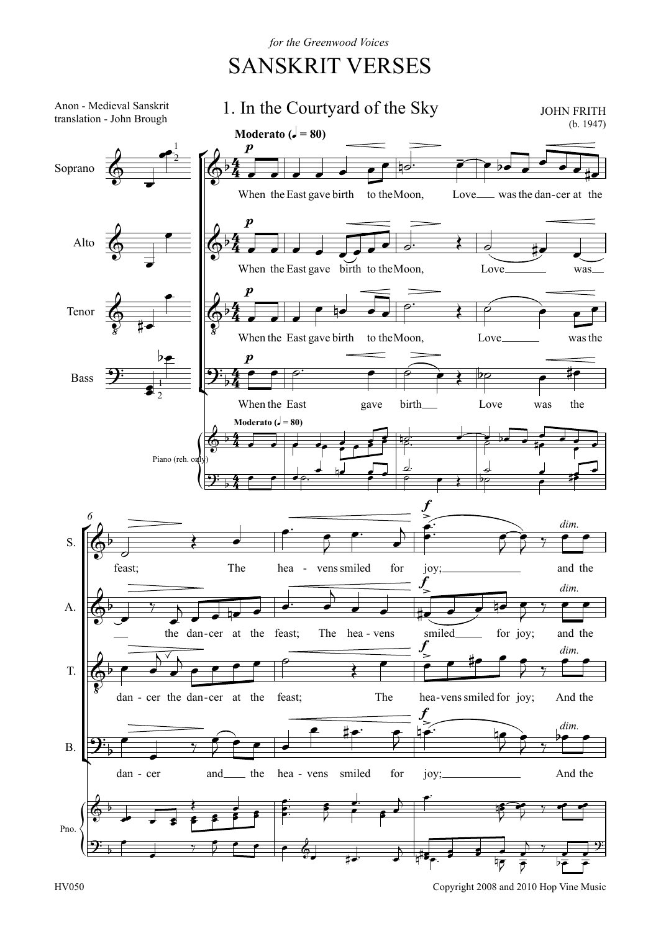for the Greenwood Voices

## **SANSKRIT VERSES**